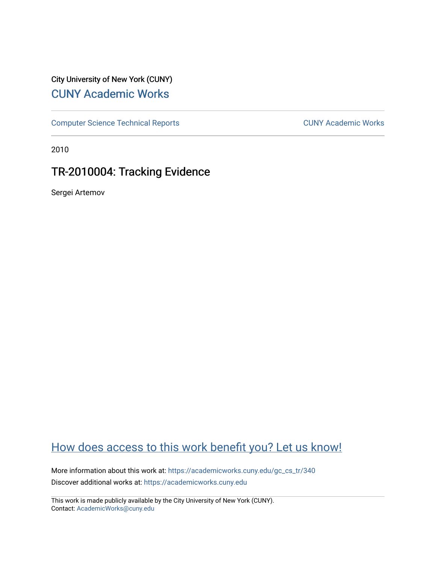## City University of New York (CUNY) [CUNY Academic Works](https://academicworks.cuny.edu/)

[Computer Science Technical Reports](https://academicworks.cuny.edu/gc_cs_tr) **CUNY Academic Works** CUNY Academic Works

2010

## TR-2010004: Tracking Evidence

Sergei Artemov

# [How does access to this work benefit you? Let us know!](http://ols.cuny.edu/academicworks/?ref=https://academicworks.cuny.edu/gc_cs_tr/340)

More information about this work at: [https://academicworks.cuny.edu/gc\\_cs\\_tr/340](https://academicworks.cuny.edu/gc_cs_tr/340)  Discover additional works at: [https://academicworks.cuny.edu](https://academicworks.cuny.edu/?)

This work is made publicly available by the City University of New York (CUNY). Contact: [AcademicWorks@cuny.edu](mailto:AcademicWorks@cuny.edu)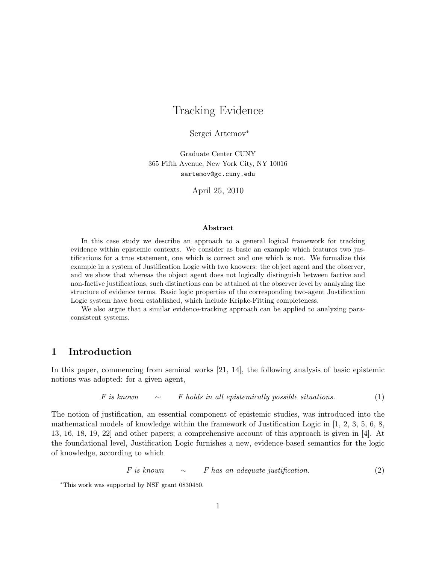## Tracking Evidence

Sergei Artemov<sup>∗</sup>

Graduate Center CUNY 365 Fifth Avenue, New York City, NY 10016 sartemov@gc.cuny.edu

April 25, 2010

#### Abstract

In this case study we describe an approach to a general logical framework for tracking evidence within epistemic contexts. We consider as basic an example which features two justifications for a true statement, one which is correct and one which is not. We formalize this example in a system of Justification Logic with two knowers: the object agent and the observer, and we show that whereas the object agent does not logically distinguish between factive and non-factive justifications, such distinctions can be attained at the observer level by analyzing the structure of evidence terms. Basic logic properties of the corresponding two-agent Justification Logic system have been established, which include Kripke-Fitting completeness.

We also argue that a similar evidence-tracking approach can be applied to analyzing paraconsistent systems.

## 1 Introduction

In this paper, commencing from seminal works [21, 14], the following analysis of basic epistemic notions was adopted: for a given agent,

$$
F \text{ is known} \qquad \sim \qquad F \text{ holds in all epistemically possible situations.} \tag{1}
$$

The notion of justification, an essential component of epistemic studies, was introduced into the mathematical models of knowledge within the framework of Justification Logic in [1, 2, 3, 5, 6, 8, 13, 16, 18, 19, 22] and other papers; a comprehensive account of this approach is given in [4]. At the foundational level, Justification Logic furnishes a new, evidence-based semantics for the logic of knowledge, according to which

$$
F \text{ is known} \qquad \sim \qquad F \text{ has an adequate justification.} \tag{2}
$$

<sup>∗</sup>This work was supported by NSF grant 0830450.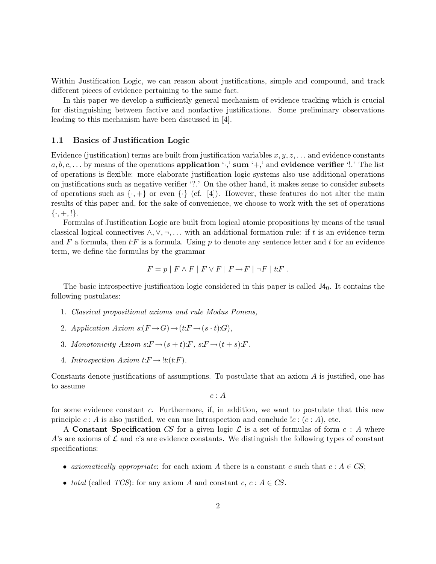Within Justification Logic, we can reason about justifications, simple and compound, and track different pieces of evidence pertaining to the same fact.

In this paper we develop a sufficiently general mechanism of evidence tracking which is crucial for distinguishing between factive and nonfactive justifications. Some preliminary observations leading to this mechanism have been discussed in [4].

#### 1.1 Basics of Justification Logic

Evidence (justification) terms are built from justification variables  $x, y, z, \ldots$  and evidence constants  $a, b, c, \ldots$  by means of the operations application ' $\cdot$ ,' sum ' $+$ ,' and evidence verifier '!.' The list of operations is flexible: more elaborate justification logic systems also use additional operations on justifications such as negative verifier '?.' On the other hand, it makes sense to consider subsets of operations such as  $\{\cdot, +\}$  or even  $\{\cdot\}$  (cf. [4]). However, these features do not alter the main results of this paper and, for the sake of convenience, we choose to work with the set of operations  $\{\cdot, +, !\}.$ 

Formulas of Justification Logic are built from logical atomic propositions by means of the usual classical logical connectives  $\wedge, \vee, \neg, \dots$  with an additional formation rule: if t is an evidence term and F a formula, then  $t$ :F is a formula. Using p to denote any sentence letter and t for an evidence term, we define the formulas by the grammar

$$
F = p | F \wedge F | F \vee F | F \rightarrow F | \neg F | t : F.
$$

The basic introspective justification logic considered in this paper is called  $J4<sub>0</sub>$ . It contains the following postulates:

- 1. Classical propositional axioms and rule Modus Ponens,
- 2. Application Axiom  $s:(F \to G) \to (t:F \to (s \cdot t):G),$
- 3. Monotonicity Axiom  $s: F \to (s + t): F$ ,  $s: F \to (t + s): F$ .
- 4. Introspection  $Axiom t: F \to \text{!}t:(t:F)$ .

Constants denote justifications of assumptions. To postulate that an axiom A is justified, one has to assume

 $c: A$ 

for some evidence constant c. Furthermore, if, in addition, we want to postulate that this new principle  $c : A$  is also justified, we can use Introspection and conclude  $lc : (c : A)$ , etc.

A Constant Specification CS for a given logic  $\mathcal L$  is a set of formulas of form  $c : A$  where A's are axioms of  $\mathcal L$  and c's are evidence constants. We distinguish the following types of constant specifications:

- axiomatically appropriate: for each axiom A there is a constant c such that  $c : A \in CS$ ;
- total (called TCS): for any axiom A and constant  $c, c : A \in CS$ .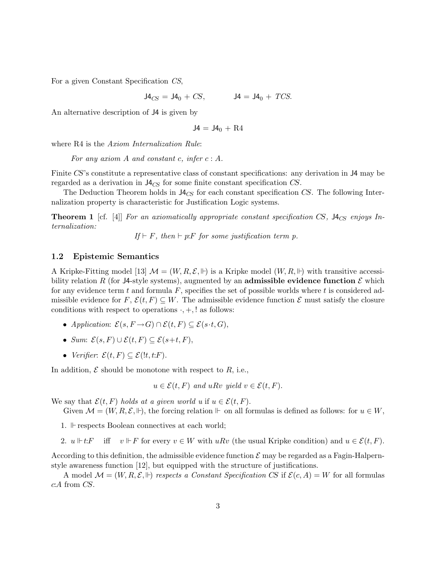For a given Constant Specification CS,

 $J4_{CS} = J4_0 + CS$ ,  $J4 = J4_0 + TCS$ .

An alternative description of J4 is given by

$$
J4 = J4_0 + R4
$$

where R4 is the *Axiom Internalization Rule*:

For any axiom  $A$  and constant  $c$ , infer  $c : A$ .

Finite CS's constitute a representative class of constant specifications: any derivation in J4 may be regarded as a derivation in  $J4_{CS}$  for some finite constant specification CS.

The Deduction Theorem holds in  $J4_{CS}$  for each constant specification CS. The following Internalization property is characteristic for Justification Logic systems.

**Theorem 1** [cf. [4]] For an axiomatically appropriate constant specification CS,  $J4_{CS}$  enjoys Internalization:

If  $\vdash$  F, then  $\vdash$  p: F for some justification term p.

#### 1.2 Epistemic Semantics

A Kripke-Fitting model [13]  $\mathcal{M} = (W, R, \mathcal{E}, \mathbb{H})$  is a Kripke model  $(W, R, \mathbb{H})$  with transitive accessibility relation R (for J4-style systems), augmented by an **admissible evidence function**  $\mathcal{E}$  which for any evidence term  $t$  and formula  $F$ , specifies the set of possible worlds where  $t$  is considered admissible evidence for  $F, \mathcal{E}(t, F) \subseteq W$ . The admissible evidence function  $\mathcal{E}$  must satisfy the closure conditions with respect to operations  $\cdot$ ,  $+$ , ! as follows:

- Application:  $\mathcal{E}(s, F \to G) \cap \mathcal{E}(t, F) \subseteq \mathcal{E}(s \cdot t, G)$ ,
- Sum:  $\mathcal{E}(s, F) \cup \mathcal{E}(t, F) \subset \mathcal{E}(s+t, F)$ ,
- Verifier:  $\mathcal{E}(t, F) \subseteq \mathcal{E}(!t, t: F)$ .

In addition,  $\mathcal E$  should be monotone with respect to  $R$ , i.e.,

 $u \in \mathcal{E}(t, F)$  and  $u R v$  yield  $v \in \mathcal{E}(t, F)$ .

We say that  $\mathcal{E}(t, F)$  holds at a given world u if  $u \in \mathcal{E}(t, F)$ .

Given  $\mathcal{M} = (W, R, \mathcal{E}, \mathbb{H})$ , the forcing relation  $\mathbb{H}$  on all formulas is defined as follows: for  $u \in W$ ,

- 1.  $\mathbb F$  respects Boolean connectives at each world;
- 2.  $u \Vdash t$ : iff  $v \Vdash F$  for every  $v \in W$  with  $u R v$  (the usual Kripke condition) and  $u \in \mathcal{E}(t, F)$ .

According to this definition, the admissible evidence function  $\mathcal E$  may be regarded as a Fagin-Halpernstyle awareness function [12], but equipped with the structure of justifications.

A model  $\mathcal{M} = (W, R, \mathcal{E}, \Vdash)$  respects a Constant Specification CS if  $\mathcal{E}(c, A) = W$  for all formulas c:A from CS.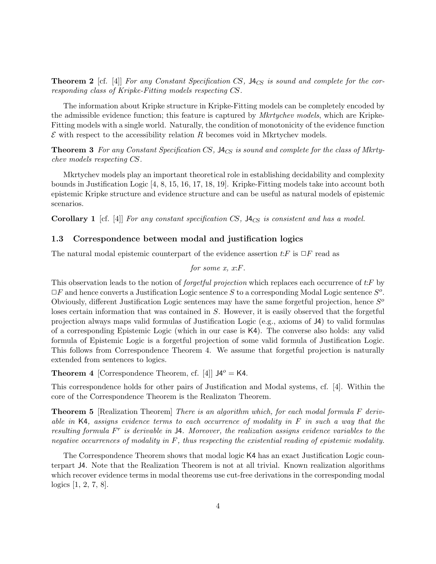**Theorem 2** [cf. [4]] For any Constant Specification CS,  $\mathcal{H}_{CS}$  is sound and complete for the corresponding class of Kripke-Fitting models respecting CS.

The information about Kripke structure in Kripke-Fitting models can be completely encoded by the admissible evidence function; this feature is captured by *Mkrtychev models*, which are Kripke-Fitting models with a single world. Naturally, the condition of monotonicity of the evidence function  $\mathcal E$  with respect to the accessibility relation R becomes void in Mkrtychev models.

**Theorem 3** For any Constant Specification CS,  $J4_{CS}$  is sound and complete for the class of Mkrtychev models respecting CS.

Mkrtychev models play an important theoretical role in establishing decidability and complexity bounds in Justification Logic [4, 8, 15, 16, 17, 18, 19]. Kripke-Fitting models take into account both epistemic Kripke structure and evidence structure and can be useful as natural models of epistemic scenarios.

Corollary 1 [cf. [4]] For any constant specification CS,  $\mathcal{H}_{CS}$  is consistent and has a model.

#### 1.3 Correspondence between modal and justification logics

The natural modal epistemic counterpart of the evidence assertion  $t$ :  $F$  is  $\Box F$  read as

for some 
$$
x
$$
,  $x$ : $F$ .

This observation leads to the notion of *forgetful projection* which replaces each occurrence of t:F by  $\Box F$  and hence converts a Justification Logic sentence S to a corresponding Modal Logic sentence  $S^o$ . Obviously, different Justification Logic sentences may have the same forgetful projection, hence  $S<sup>o</sup>$ loses certain information that was contained in S. However, it is easily observed that the forgetful projection always maps valid formulas of Justification Logic (e.g., axioms of J4) to valid formulas of a corresponding Epistemic Logic (which in our case is K4). The converse also holds: any valid formula of Epistemic Logic is a forgetful projection of some valid formula of Justification Logic. This follows from Correspondence Theorem 4. We assume that forgetful projection is naturally extended from sentences to logics.

**Theorem 4** [Correspondence Theorem, cf. [4]]  $J4^o = K4$ .

This correspondence holds for other pairs of Justification and Modal systems, cf. [4]. Within the core of the Correspondence Theorem is the Realizaton Theorem.

**Theorem 5** [Realization Theorem] There is an algorithm which, for each modal formula F derivable in K4, assigns evidence terms to each occurrence of modality in  $F$  in such a way that the resulting formula  $F<sup>r</sup>$  is derivable in  $\mathsf{J4}.$  Moreover, the realization assigns evidence variables to the negative occurrences of modality in  $F$ , thus respecting the existential reading of epistemic modality.

The Correspondence Theorem shows that modal logic K4 has an exact Justification Logic counterpart J4. Note that the Realization Theorem is not at all trivial. Known realization algorithms which recover evidence terms in modal theorems use cut-free derivations in the corresponding modal logics [1, 2, 7, 8].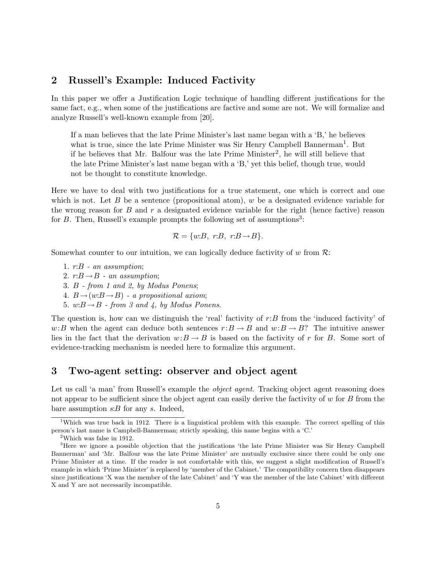## 2 Russell's Example: Induced Factivity

In this paper we offer a Justification Logic technique of handling different justifications for the same fact, e.g., when some of the justifications are factive and some are not. We will formalize and analyze Russell's well-known example from [20].

If a man believes that the late Prime Minister's last name began with a 'B,' he believes what is true, since the late Prime Minister was Sir Henry Campbell Bannerman<sup>1</sup>. But if he believes that Mr. Balfour was the late Prime Minister<sup>2</sup>, he will still believe that the late Prime Minister's last name began with a 'B,' yet this belief, though true, would not be thought to constitute knowledge.

Here we have to deal with two justifications for a true statement, one which is correct and one which is not. Let B be a sentence (propositional atom), w be a designated evidence variable for the wrong reason for B and r a designated evidence variable for the right (hence factive) reason for  $B$ . Then, Russell's example prompts the following set of assumptions<sup>3</sup>:

$$
\mathcal{R} = \{w:B, r:B, r:B \rightarrow B\}.
$$

Somewhat counter to our intuition, we can logically deduce factivity of w from  $\mathcal{R}$ :

1. r:B - an assumption;

2.  $r:B \rightarrow B$  - an assumption;

3. B - from 1 and 2, by Modus Ponens;

4.  $B \rightarrow (w:B \rightarrow B)$  - a propositional axiom;

5.  $w:B \rightarrow B$  - from 3 and 4, by Modus Ponens.

The question is, how can we distinguish the 'real' factivity of  $r:B$  from the 'induced factivity' of w:B when the agent can deduce both sentences  $r:B \to B$  and  $w:B \to B$ ? The intuitive answer lies in the fact that the derivation  $w:B \to B$  is based on the factivity of r for B. Some sort of evidence-tracking mechanism is needed here to formalize this argument.

### 3 Two-agent setting: observer and object agent

Let us call 'a man' from Russell's example the *object agent*. Tracking object agent reasoning does not appear to be sufficient since the object agent can easily derive the factivity of  $w$  for  $B$  from the bare assumption  $s:B$  for any  $s$ . Indeed,

<sup>&</sup>lt;sup>1</sup>Which was true back in 1912. There is a linguistical problem with this example. The correct spelling of this person's last name is Campbell-Bannerman; strictly speaking, this name begins with a 'C.'

<sup>2</sup>Which was false in 1912.

<sup>&</sup>lt;sup>3</sup>Here we ignore a possible objection that the justifications 'the late Prime Minister was Sir Henry Campbell Bannerman' and 'Mr. Balfour was the late Prime Minister' are mutually exclusive since there could be only one Prime Minister at a time. If the reader is not comfortable with this, we suggest a slight modification of Russell's example in which 'Prime Minister' is replaced by 'member of the Cabinet.' The compatibility concern then disappears since justifications 'X was the member of the late Cabinet' and 'Y was the member of the late Cabinet' with different X and Y are not necessarily incompatible.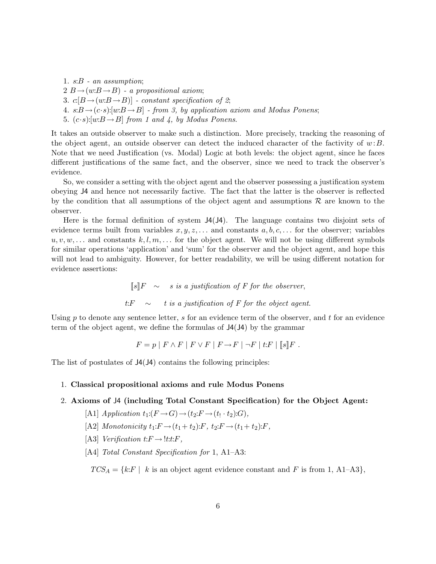1. s:B - an assumption;  $2 B \rightarrow (w:B \rightarrow B)$  - a propositional axiom; 3.  $c[B\rightarrow(w:B\rightarrow B)]$  - constant specification of 2; 4.  $s:B\rightarrow (c\cdot s): [w:B\rightarrow B]$  - from 3, by application axiom and Modus Ponens; 5.  $(c \cdot s): [w \cdot B \rightarrow B]$  from 1 and 4, by Modus Ponens.

It takes an outside observer to make such a distinction. More precisely, tracking the reasoning of the object agent, an outside observer can detect the induced character of the factivity of  $w: B$ . Note that we need Justification (vs. Modal) Logic at both levels: the object agent, since he faces different justifications of the same fact, and the observer, since we need to track the observer's evidence.

So, we consider a setting with the object agent and the observer possessing a justification system obeying J4 and hence not necessarily factive. The fact that the latter is the observer is reflected by the condition that all assumptions of the object agent and assumptions  $\mathcal R$  are known to the observer.

Here is the formal definition of system  $J4(J4)$ . The language contains two disjoint sets of evidence terms built from variables  $x, y, z, \ldots$  and constants  $a, b, c, \ldots$  for the observer; variables  $u, v, w, \ldots$  and constants  $k, l, m, \ldots$  for the object agent. We will not be using different symbols for similar operations 'application' and 'sum' for the observer and the object agent, and hope this will not lead to ambiguity. However, for better readability, we will be using different notation for evidence assertions:

> $[s]$ F  $\sim$  s is a justification of F for the observer, t: $F \sim t$  is a justification of F for the object agent.

Using  $p$  to denote any sentence letter,  $s$  for an evidence term of the observer, and  $t$  for an evidence term of the object agent, we define the formulas of J4(J4) by the grammar

$$
F = p | F \wedge F | F \vee F | F \rightarrow F | \neg F | t : F | [s] F.
$$

The list of postulates of J4(J4) contains the following principles:

#### 1. Classical propositional axioms and rule Modus Ponens

## 2. Axioms of J4 (including Total Constant Specification) for the Object Agent:

- [A1] Application  $t_1:(F \to G) \to (t_2:F \to (t_1 \cdot t_2):G)$ ,
- [A2] Monotonicity  $t_1: F \to (t_1+t_2): F$ ,  $t_2: F \to (t_1+t_2): F$ ,
- [A3] Verification  $t: F \to \ell t: F$ ,
- [A4] *Total Constant Specification for* 1, A1–A3:

 $TCS_A = \{k: F \mid k \text{ is an object agent evidence constant and } F \text{ is from 1, A1-A3}\},\$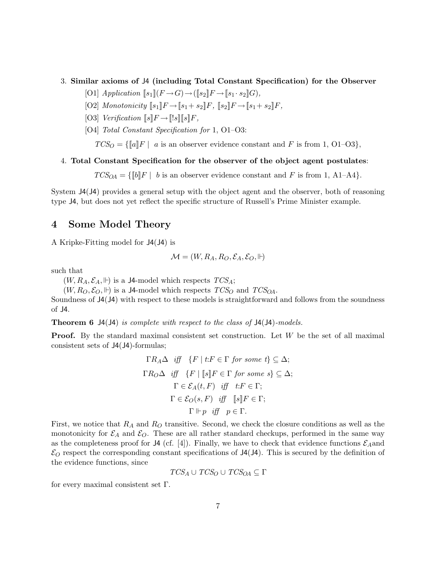- 3. Similar axioms of J4 (including Total Constant Specification) for the Observer
	- [O1] Application  $\llbracket s_1 \rrbracket (F \rightarrow G) \rightarrow (\llbracket s_2 \rrbracket F \rightarrow \llbracket s_1 \cdot s_2 \rrbracket G),$
	- $[O2]$  Monotonicity  $[s_1]$   $F \to [s_1+s_2]$   $F$ ,  $[s_2]$   $F \to [s_1+s_2]$   $F$ ,
	- [O3] Verification  $\llbracket s \rrbracket F \rightarrow \llbracket !s \rrbracket \llbracket s \rrbracket F$ ,
	- [O4] Total Constant Specification for 1, O1–O3:

 $TCS_O = \{\llbracket a \rrbracket F \mid a \text{ is an observer evidence constant and } F \text{ is from 1, O1–O3}\},\$ 

#### 4. Total Constant Specification for the observer of the object agent postulates:

 $TCS_{OA} = \{\llbracket b \rrbracket F \mid b \text{ is an observer evidence constant and } F \text{ is from 1, A1-A4}\}.$ 

System J4(J4) provides a general setup with the object agent and the observer, both of reasoning type J4, but does not yet reflect the specific structure of Russell's Prime Minister example.

## 4 Some Model Theory

A Kripke-Fitting model for J4(J4) is

$$
\mathcal{M} = (W, R_A, R_O, \mathcal{E}_A, \mathcal{E}_O, \Vdash)
$$

such that

 $(W, R_A, \mathcal{E}_A, \Vdash)$  is a J4-model which respects  $TCS_A$ ;

 $(W, R_O, \mathcal{E}_O, \Vdash)$  is a J4-model which respects  $TCS_O$  and  $TCS_{OA}$ .

Soundness of J4(J4) with respect to these models is straightforward and follows from the soundness of J4.

**Theorem 6** J4(J4) is complete with respect to the class of J4(J4)-models.

Proof. By the standard maximal consistent set construction. Let W be the set of all maximal consistent sets of J4(J4)-formulas;

$$
\Gamma R_A \Delta \quad \text{iff} \quad \{F \mid t \colon F \in \Gamma \text{ for some } t\} \subseteq \Delta; \\
\Gamma R_O \Delta \quad \text{iff} \quad \{F \mid [s]F \in \Gamma \text{ for some } s\} \subseteq \Delta; \\
\Gamma \in \mathcal{E}_A(t, F) \quad \text{iff} \quad t \colon F \in \Gamma; \\
\Gamma \in \mathcal{E}_O(s, F) \quad \text{iff} \quad [s]F \in \Gamma; \\
\Gamma \Vdash p \quad \text{iff} \quad p \in \Gamma.
$$

First, we notice that  $R_A$  and  $R_O$  transitive. Second, we check the closure conditions as well as the monotonicity for  $\mathcal{E}_A$  and  $\mathcal{E}_O$ . These are all rather standard checkups, performed in the same way as the completeness proof for J4 (cf. [4]). Finally, we have to check that evidence functions  $\mathcal{E}_A$  and  $\mathcal{E}_O$  respect the corresponding constant specifications of J4(J4). This is secured by the definition of the evidence functions, since

$$
TCS_A \cup TCS_O \cup TCS_{OA} \subseteq \Gamma
$$

for every maximal consistent set Γ.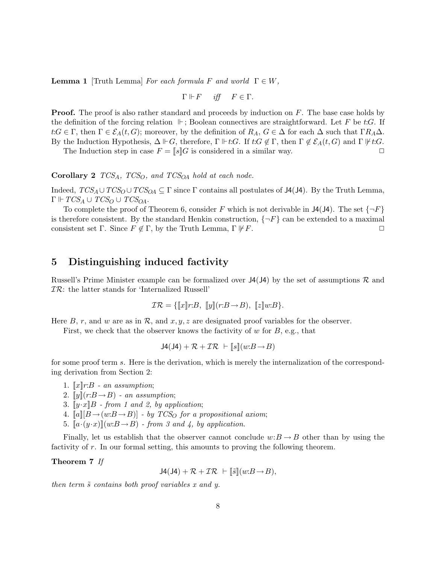**Lemma 1** [Truth Lemma] For each formula F and world  $\Gamma \in W$ ,

$$
\Gamma \Vdash F \quad \text{iff} \quad F \in \Gamma.
$$

**Proof.** The proof is also rather standard and proceeds by induction on  $F$ . The base case holds by the definition of the forcing relation  $\mathbb{F}$ ; Boolean connectives are straightforward. Let F be t:G. If  $t:G \in \Gamma$ , then  $\Gamma \in \mathcal{E}_A(t, G)$ ; moreover, by the definition of  $R_A, G \in \Delta$  for each  $\Delta$  such that  $\Gamma R_A \Delta$ . By the Induction Hypothesis,  $\Delta \Vdash G$ , therefore,  $\Gamma \Vdash t:G$ . If  $t:G \notin \Gamma$ , then  $\Gamma \notin \mathcal{E}_A(t, G)$  and  $\Gamma \Vdash t:G$ . The Induction step in case  $F = \llbracket s \rrbracket G$  is considered in a similar way.

Corollary 2  $TCS_A$ ,  $TCS_O$ , and  $TCS_{OA}$  hold at each node.

Indeed,  $TCS_A \cup TCS_O \cup TCS_{OA} \subseteq \Gamma$  since  $\Gamma$  contains all postulates of J4(J4). By the Truth Lemma,  $\Gamma \Vdash TCS_A \cup TCS_O \cup TCS_{OA}.$ 

To complete the proof of Theorem 6, consider F which is not derivable in  $J4(J4)$ . The set  $\{\neg F\}$ is therefore consistent. By the standard Henkin construction,  $\{\neg F\}$  can be extended to a maximal consistent set Γ. Since  $F \notin \Gamma$ , by the Truth Lemma,  $\Gamma \not\Vdash F$ .

## 5 Distinguishing induced factivity

Russell's Prime Minister example can be formalized over  $J4(J4)$  by the set of assumptions R and  $TR$ : the latter stands for 'Internalized Russell'

$$
\mathcal{IR} = \{ [\![x]\!] r : B, [\![y]\!] (r : B \to B), [\![z]\!] w : B \}.
$$

Here B, r, and w are as in R, and  $x, y, z$  are designated proof variables for the observer.

First, we check that the observer knows the factivity of  $w$  for  $B$ , e.g., that

$$
J4(J4) + \mathcal{R} + \mathcal{I}\mathcal{R} \ \vdash \|s\| (w:B \rightarrow B)
$$

for some proof term s. Here is the derivation, which is merely the internalization of the corresponding derivation from Section 2:

- 1.  $\llbracket x \rrbracket r:B$  an assumption:
- 2.  $\llbracket y \rrbracket(r:B \rightarrow B)$  an assumption;
- 3.  $[y \cdot x]B$  from 1 and 2, by application;
- 4.  $[a][B \rightarrow (w:B \rightarrow B)]$  by TCS<sub>O</sub> for a propositional axiom;
- 5.  $[a \cdot (y \cdot x)](w:B \rightarrow B)$  from 3 and 4, by application.

Finally, let us establish that the observer cannot conclude  $w:B \to B$  other than by using the factivity of r. In our formal setting, this amounts to proving the following theorem.

#### Theorem 7 If

 $J4(J4) + \mathcal{R} + \mathcal{I}\mathcal{R} \vdash \lbrack \lbrack \tilde{s} \rbrack (w:B \rightarrow B),$ 

then term  $\tilde{s}$  contains both proof variables x and y.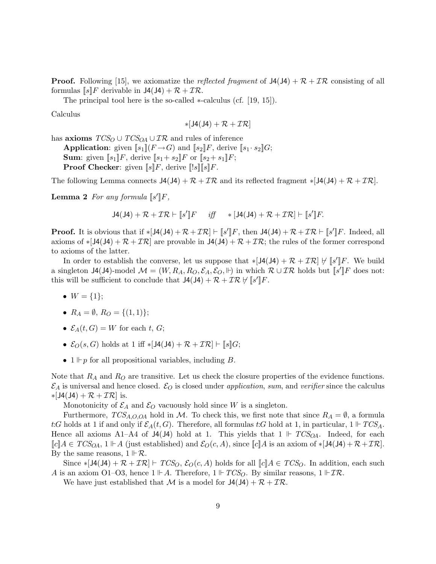**Proof.** Following [15], we axiomatize the *reflected fragment* of  $J4(J4) + \mathcal{R} + \mathcal{I}\mathcal{R}$  consisting of all formulas  $[s]F$  derivable in  $J4(J4) + \mathcal{R} + \mathcal{I}\mathcal{R}$ .

The principal tool here is the so-called ∗-calculus (cf. [19, 15]).

Calculus

$$
*[J4(J4)+\mathcal{R}+\mathcal{I}\mathcal{R}]
$$

has **axioms**  $TCS_O \cup TCS_{OA} \cup \mathcal{IR}$  and rules of inference

**Application:** given  $[s_1](F \rightarrow G)$  and  $[s_2]F$ , derive  $[s_1 \cdot s_2]G$ ; **Sum:** given  $[s_1]F$ , derive  $[s_1 + s_2]F$  or  $[s_2 + s_1]F$ ; **Proof Checker:** given  $\llbracket s \rrbracket F$ , derive  $\llbracket s \rrbracket s \llbracket F$ .

The following Lemma connects  $J4(J4) + \mathcal{R} + \mathcal{IR}$  and its reflected fragment  $*[J4(J4) + \mathcal{R} + \mathcal{IR}]$ .

**Lemma 2** For any formula  $\llbracket s' \rrbracket F$ ,

$$
J4(J4) + \mathcal{R} + \mathcal{I}\mathcal{R} \vdash [s']F \quad \text{iff} \quad *[J4(J4) + \mathcal{R} + \mathcal{I}\mathcal{R}] \vdash [s']F.
$$

**Proof.** It is obvious that if  $\ast [J4(J4) + \mathcal{R} + \mathcal{I}\mathcal{R}] \vdash [s'] [F]$ , then  $J4(J4) + \mathcal{R} + \mathcal{I}\mathcal{R} \vdash [s'] [F]$ . Indeed, all axioms of  $\ast [J4(J4) + \mathcal{R} + \mathcal{I}\mathcal{R}]$  are provable in  $J4(J4) + \mathcal{R} + \mathcal{I}\mathcal{R}$ ; the rules of the former correspond to axioms of the latter.

In order to establish the converse, let us suppose that  $\ast$ [J4(J4) +  $\mathcal{R} + \mathcal{IR}$ ]  $\sharp$  [s'][F. We build a singleton J4(J4)-model  $\mathcal{M} = (W, R_A, R_O, \mathcal{E}_A, \mathcal{E}_O, \Vdash)$  in which  $\mathcal{R} \cup \mathcal{IR}$  holds but  $\llbracket s' \rrbracket F$  does not: this will be sufficient to conclude that  $J4(J4) + \mathcal{R} + \mathcal{IR} \nvdash [s'] \, F$ .

- $W = \{1\};$
- $R_A = \emptyset$ ,  $R_O = \{(1, 1)\};$
- $\mathcal{E}_A(t, G) = W$  for each t, G;
- $\mathcal{E}_O(s, G)$  holds at 1 iff \*[J4(J4) +  $\mathcal{R} + \mathcal{I}\mathcal{R}$ ]  $\vdash$  [[s][G;
- $1 \Vdash p$  for all propositional variables, including B.

Note that  $R_A$  and  $R_O$  are transitive. Let us check the closure properties of the evidence functions.  $\mathcal{E}_A$  is universal and hence closed.  $\mathcal{E}_O$  is closed under application, sum, and verifier since the calculus  $\ast$ [J4(J4) +  $\mathcal{R}$  +  $\mathcal{IR}$ ] is.

Monotonicity of  $\mathcal{E}_A$  and  $\mathcal{E}_O$  vacuously hold since W is a singleton.

Furthermore,  $TCS_{A,O,O}$  hold in M. To check this, we first note that since  $R_A = \emptyset$ , a formula t:G holds at 1 if and only if  $\mathcal{E}_A(t, G)$ . Therefore, all formulas t:G hold at 1, in particular,  $1 \Vdash TCS_A$ . Hence all axioms A1–A4 of J4(J4) hold at 1. This yields that  $1 \Vdash TCS_{OA}$ . Indeed, for each  $\llbracket c \rrbracket A \in TCS_{OA}, 1 \Vdash A$  (just established) and  $\mathcal{E}_O(c, A)$ , since  $\llbracket c \rrbracket A$  is an axiom of  $\ast$  [J4(J4) +  $\mathcal{R} + \mathcal{I}\mathcal{R}$ ]. By the same reasons,  $1 \nvdash \mathcal{R}$ .

Since  $\ast$ [J4(J4) +  $\mathcal{R}$  +  $\mathcal{IR}$ ]  $\vdash$   $TCS_O$ ,  $\mathcal{E}_O(c, A)$  holds for all  $\llbracket c \rrbracket A \in TCS_O$ . In addition, each such A is an axiom O1–O3, hence  $1 \not\vdash A$ . Therefore,  $1 \not\vdash TCS_O$ . By similar reasons,  $1 \not\vdash T\mathcal{R}$ .

We have just established that M is a model for  $J4(J4) + \mathcal{R} + \mathcal{I}\mathcal{R}$ .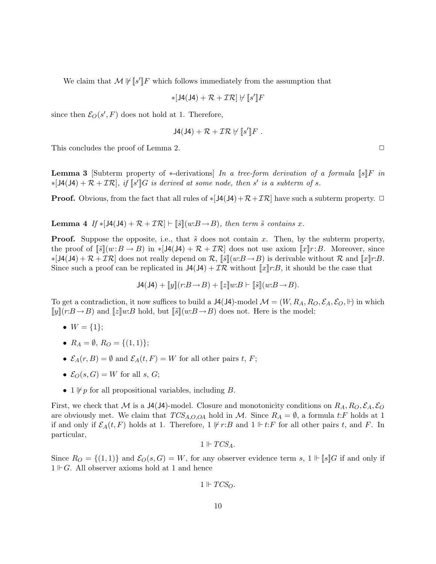We claim that  $\mathcal{M} \not\vdash [\![s']\!]F$  which follows immediately from the assumption that

$$
*[J4(J4) + \mathcal{R} + \mathcal{I}\mathcal{R}] \not\vdash [s']F
$$

since then  $\mathcal{E}_O(s', F)$  does not hold at 1. Therefore,

$$
J4(J4)+\mathcal{R}+\mathcal{IR}\not\!\!\!\!\nmid [s']\,F.
$$

This concludes the proof of Lemma 2.  $\Box$ 

**Lemma 3** [Subterm property of \*-derivations] In a tree-form derivation of a formula  $\llbracket s \rrbracket F$  in  $*[\mathsf{J4}(\mathsf{J4}) + \mathcal{R} + \mathcal{I}\mathcal{R}],$  if  $\llbracket s \rrbracket G$  is derived at some node, then s' is a subterm of s.

**Proof.** Obvious, from the fact that all rules of  $\ast [J4(J4) + \mathcal{R} + \mathcal{IR}]$  have such a subterm property.  $\Box$ 

**Lemma 4** If  $* [J4(J4) + \mathcal{R} + \mathcal{IR}] \vdash [\tilde{s}](w:B \rightarrow B)$ , then term  $\tilde{s}$  contains x.

**Proof.** Suppose the opposite, i.e., that  $\tilde{s}$  does not contain x. Then, by the subterm property, the proof of  $\lceil \tilde{s} \rceil (w:B \to B)$  in  $\ast \lceil J(1/4) + \mathcal{R} + \mathcal{IR} \rceil$  does not use axiom  $\lceil x \rceil r:B$ . Moreover, since  $\ast$ [J4(J4) +  $\mathcal{R}$  +  $\mathcal{IR}$ ] does not really depend on  $\mathcal{R}$ ,  $\lbrack \lbrack \mathfrak{F} \rbrack (w:B \rightarrow B)$  is derivable without  $\mathcal{R}$  and  $\lbrack \lbrack x \rbrack r:B$ . Since such a proof can be replicated in  $J(4) + \mathcal{IR}$  without  $\llbracket x \rrbracket r:B$ , it should be the case that

$$
J4(J4) + [y](r:B \to B) + [z]w:B \vdash [\tilde{s}](w:B \to B).
$$

To get a contradiction, it now suffices to build a  $J4(J4)$ -model  $\mathcal{M} = (W, R_A, R_O, \mathcal{E}_A, \mathcal{E}_O, \mathbb{H})$  in which  $\llbracket y \rrbracket(r:B \to B)$  and  $\llbracket z \rrbracket w:B$  hold, but  $\llbracket \tilde{s} \rrbracket(w:B \to B)$  does not. Here is the model:

- $W = \{1\};$
- $R_A = \emptyset$ ,  $R_O = \{(1, 1)\};$
- $\mathcal{E}_A(r, B) = \emptyset$  and  $\mathcal{E}_A(t, F) = W$  for all other pairs t, F;
- $\mathcal{E}_O(s, G) = W$  for all s, G;
- 1  $\nvdash p$  for all propositional variables, including B.

First, we check that M is a J4(J4)-model. Closure and monotonicity conditions on  $R_A, R_O, \mathcal{E}_A, \mathcal{E}_O$ are obviously met. We claim that  $TCS_{A,O,O}$  hold in M. Since  $R_A = \emptyset$ , a formula t:F holds at 1 if and only if  $\mathcal{E}_A(t, F)$  holds at 1. Therefore,  $1 \not\vdash r:B$  and  $1 \not\vdash t:F$  for all other pairs t, and F. In particular,

$$
1\Vdash TCS_A.
$$

Since  $R_O = \{(1,1)\}\$ and  $\mathcal{E}_O(s, G) = W$ , for any observer evidence term s,  $1 \Vdash [s]G$  if and only if  $1 \nvdash G$ . All observer axioms hold at 1 and hence

$$
1\Vdash TCS_O.
$$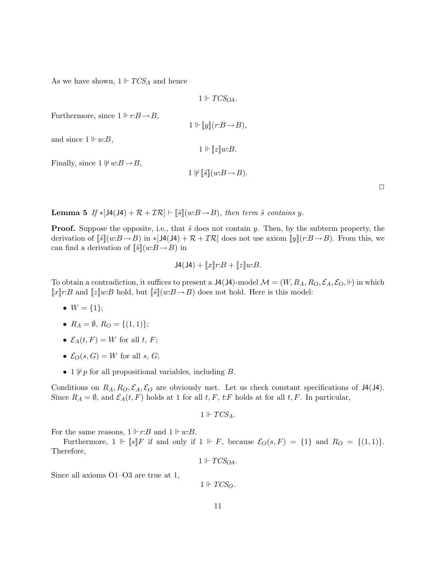As we have shown,  $1 \Vdash TCS_A$  and hence

 $1 \Vdash TCS_{OA}$ .

Furthermore, since  $1 \Vdash r:B \to B$ ,

 $1 \Vdash [y](r:B \rightarrow B),$ 

and since  $1 \Vdash w:B$ ,

 $1 \Vdash [z]w:B.$ 

Finally, since  $1 \not\vdash w:B \rightarrow B$ ,

$$
1 \not\Vdash \llbracket \tilde{s} \rrbracket (w:B \to B).
$$

 $\Box$ 

**Lemma 5** If  $* [J4(J4) + \mathcal{R} + \mathcal{IR}] \vdash [\tilde{s}](w:B \rightarrow B)$ , then term  $\tilde{s}$  contains y.

**Proof.** Suppose the opposite, i.e., that  $\tilde{s}$  does not contain y. Then, by the subterm property, the derivation of  $\llbracket \tilde{s} \rrbracket(w:B \to B)$  in \*[J4(J4) +  $\mathcal{R} + \mathcal{IR}$ ] does not use axiom  $\llbracket y \rrbracket(r:B \to B)$ . From this, we can find a derivation of  $\llbracket \tilde{s} \rrbracket(w:B \to B)$  in

$$
J4(J4) + [x]r:B + [z]w:B.
$$

To obtain a contradiction, it suffices to present a  $J4(J4)$ -model  $\mathcal{M} = (W, R_A, R_O, \mathcal{E}_A, \mathcal{E}_O, \mathbb{H})$  in which  $\llbracket x \rrbracket r:B$  and  $\llbracket z \rrbracket w:B$  hold, but  $\llbracket \tilde{s} \rrbracket (w:B \to B)$  does not hold. Here is this model:

- $W = \{1\};$
- $R_A = \emptyset$ ,  $R_O = \{(1, 1)\};$
- $\mathcal{E}_A(t, F) = W$  for all t, F;
- $\mathcal{E}_O(s, G) = W$  for all s, G;
- 1  $\not\Vdash p$  for all propositional variables, including B.

Conditions on  $R_A$ ,  $R_O$ ,  $\mathcal{E}_O$  are obviously met. Let us check constant specifications of J4(J4). Since  $R_A = \emptyset$ , and  $\mathcal{E}_A(t, F)$  holds at 1 for all  $t, F$ ,  $t$ : F holds at for all  $t, F$ . In particular,

$$
1 \Vdash TCS_A.
$$

For the same reasons,  $1 \Vdash r:B$  and  $1 \Vdash w:B$ .

Furthermore,  $1 \Vdash [s]F$  if and only if  $1 \Vdash F$ , because  $\mathcal{E}_O(s, F) = \{1\}$  and  $R_O = \{(1, 1)\}.$ Therefore,

$$
1 \Vdash TCS_{OA}.
$$

Since all axioms O1–O3 are true at 1,

 $1 \Vdash TCS_O.$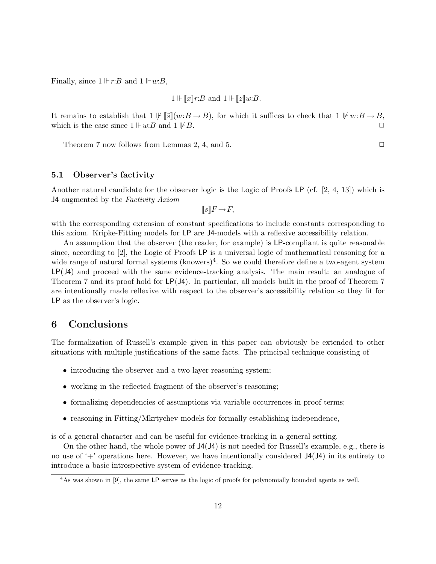Finally, since  $1 \Vdash r:B$  and  $1 \Vdash w:B$ ,

$$
1 \Vdash \llbracket x \rrbracket r : B \text{ and } 1 \Vdash \llbracket z \rrbracket w : B.
$$

It remains to establish that  $1 \not\vdash \llbracket \tilde{s} \rrbracket(w:B \to B)$ , for which it suffices to check that  $1 \not\vdash w:B \to B$ , which is the case since  $1 \Vdash w:B$  and  $1 \Vdash B$ .

Theorem 7 now follows from Lemmas 2, 4, and 5.  $\Box$ 

#### 5.1 Observer's factivity

Another natural candidate for the observer logic is the Logic of Proofs LP (cf. [2, 4, 13]) which is J4 augmented by the Factivity Axiom

 $[s]$   $F \rightarrow F$ ,

with the corresponding extension of constant specifications to include constants corresponding to this axiom. Kripke-Fitting models for LP are J4-models with a reflexive accessibility relation.

An assumption that the observer (the reader, for example) is LP-compliant is quite reasonable since, according to [2], the Logic of Proofs LP is a universal logic of mathematical reasoning for a wide range of natural formal systems  $(knowers)^4$ . So we could therefore define a two-agent system LP(J4) and proceed with the same evidence-tracking analysis. The main result: an analogue of Theorem 7 and its proof hold for LP(J4). In particular, all models built in the proof of Theorem 7 are intentionally made reflexive with respect to the observer's accessibility relation so they fit for LP as the observer's logic.

## 6 Conclusions

The formalization of Russell's example given in this paper can obviously be extended to other situations with multiple justifications of the same facts. The principal technique consisting of

- introducing the observer and a two-layer reasoning system;
- working in the reflected fragment of the observer's reasoning;
- formalizing dependencies of assumptions via variable occurrences in proof terms;
- reasoning in Fitting/Mkrtychev models for formally establishing independence,

is of a general character and can be useful for evidence-tracking in a general setting.

On the other hand, the whole power of J4(J4) is not needed for Russell's example, e.g., there is no use of  $+$  operations here. However, we have intentionally considered  $J4(J4)$  in its entirety to introduce a basic introspective system of evidence-tracking.

<sup>4</sup>As was shown in [9], the same LP serves as the logic of proofs for polynomially bounded agents as well.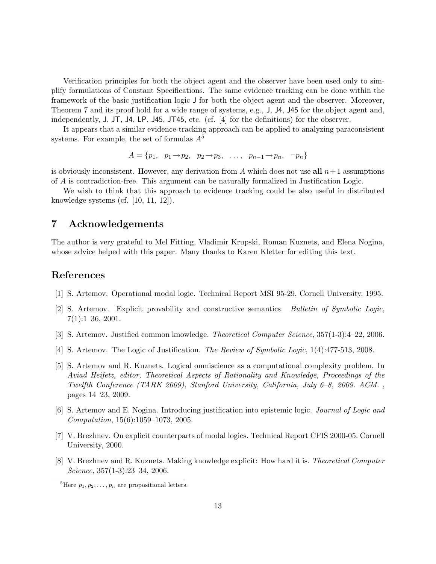Verification principles for both the object agent and the observer have been used only to simplify formulations of Constant Specifications. The same evidence tracking can be done within the framework of the basic justification logic J for both the object agent and the observer. Moreover, Theorem 7 and its proof hold for a wide range of systems, e.g., J, J4, J45 for the object agent and, independently, J, JT, J4, LP, J45, JT45, etc. (cf. [4] for the definitions) for the observer.

It appears that a similar evidence-tracking approach can be applied to analyzing paraconsistent systems. For example, the set of formulas  $A<sup>5</sup>$ 

$$
A = \{p_1, p_1 \to p_2, p_2 \to p_3, \ldots, p_{n-1} \to p_n, \neg p_n\}
$$

is obviously inconsistent. However, any derivation from A which does not use all  $n+1$  assumptions of A is contradiction-free. This argument can be naturally formalized in Justification Logic.

We wish to think that this approach to evidence tracking could be also useful in distributed knowledge systems (cf. [10, 11, 12]).

## 7 Acknowledgements

The author is very grateful to Mel Fitting, Vladimir Krupski, Roman Kuznets, and Elena Nogina, whose advice helped with this paper. Many thanks to Karen Kletter for editing this text.

## References

- [1] S. Artemov. Operational modal logic. Technical Report MSI 95-29, Cornell University, 1995.
- [2] S. Artemov. Explicit provability and constructive semantics. Bulletin of Symbolic Logic, 7(1):1–36, 2001.
- [3] S. Artemov. Justified common knowledge. Theoretical Computer Science, 357(1-3):4–22, 2006.
- [4] S. Artemov. The Logic of Justification. The Review of Symbolic Logic, 1(4):477-513, 2008.
- [5] S. Artemov and R. Kuznets. Logical omniscience as a computational complexity problem. In Aviad Heifetz, editor, Theoretical Aspects of Rationality and Knowledge, Proceedings of the Twelfth Conference (TARK 2009), Stanford University, California, July 6–8, 2009. ACM. , pages 14–23, 2009.
- [6] S. Artemov and E. Nogina. Introducing justification into epistemic logic. Journal of Logic and Computation, 15(6):1059–1073, 2005.
- [7] V. Brezhnev. On explicit counterparts of modal logics. Technical Report CFIS 2000-05. Cornell University, 2000.
- [8] V. Brezhnev and R. Kuznets. Making knowledge explicit: How hard it is. Theoretical Computer Science, 357(1-3):23–34, 2006.

<sup>&</sup>lt;sup>5</sup>Here  $p_1, p_2, \ldots, p_n$  are propositional letters.